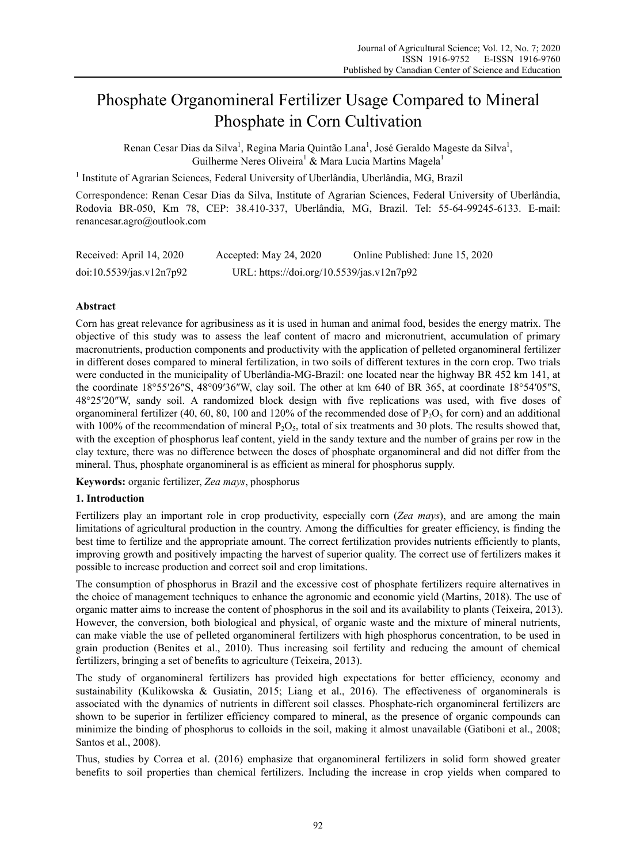# Phosphate Organomineral Fertilizer Usage Compared to Mineral Phosphate in Corn Cultivation

Renan Cesar Dias da Silva<sup>1</sup>, Regina Maria Quintão Lana<sup>1</sup>, José Geraldo Mageste da Silva<sup>1</sup>, Guilherme Neres Oliveira<sup>1</sup> & Mara Lucia Martins Magela<sup>1</sup>

<sup>1</sup> Institute of Agrarian Sciences, Federal University of Uberlândia, Uberlândia, MG, Brazil

Correspondence: Renan Cesar Dias da Silva, Institute of Agrarian Sciences, Federal University of Uberlândia, Rodovia BR-050, Km 78, CEP: 38.410-337, Uberlândia, MG, Brazil. Tel: 55-64-99245-6133. E-mail: renancesar.agro@outlook.com

| Received: April 14, 2020 | Accepted: May 24, 2020                    | Online Published: June 15, 2020 |
|--------------------------|-------------------------------------------|---------------------------------|
| doi:10.5539/jas.v12n7p92 | URL: https://doi.org/10.5539/jas.v12n7p92 |                                 |

# **Abstract**

Corn has great relevance for agribusiness as it is used in human and animal food, besides the energy matrix. The objective of this study was to assess the leaf content of macro and micronutrient, accumulation of primary macronutrients, production components and productivity with the application of pelleted organomineral fertilizer in different doses compared to mineral fertilization, in two soils of different textures in the corn crop. Two trials were conducted in the municipality of Uberlândia-MG-Brazil: one located near the highway BR 452 km 141, at the coordinate 18°55′26″S, 48°09′36″W, clay soil. The other at km 640 of BR 365, at coordinate 18°54′05″S, 48°25′20″W, sandy soil. A randomized block design with five replications was used, with five doses of organomineral fertilizer (40, 60, 80, 100 and 120% of the recommended dose of  $P_2O_5$  for corn) and an additional with 100% of the recommendation of mineral  $P_2O_5$ , total of six treatments and 30 plots. The results showed that, with the exception of phosphorus leaf content, yield in the sandy texture and the number of grains per row in the clay texture, there was no difference between the doses of phosphate organomineral and did not differ from the mineral. Thus, phosphate organomineral is as efficient as mineral for phosphorus supply.

**Keywords:** organic fertilizer, *Zea mays*, phosphorus

## **1. Introduction**

Fertilizers play an important role in crop productivity, especially corn (*Zea mays*), and are among the main limitations of agricultural production in the country. Among the difficulties for greater efficiency, is finding the best time to fertilize and the appropriate amount. The correct fertilization provides nutrients efficiently to plants, improving growth and positively impacting the harvest of superior quality. The correct use of fertilizers makes it possible to increase production and correct soil and crop limitations.

The consumption of phosphorus in Brazil and the excessive cost of phosphate fertilizers require alternatives in the choice of management techniques to enhance the agronomic and economic yield (Martins, 2018). The use of organic matter aims to increase the content of phosphorus in the soil and its availability to plants (Teixeira, 2013). However, the conversion, both biological and physical, of organic waste and the mixture of mineral nutrients, can make viable the use of pelleted organomineral fertilizers with high phosphorus concentration, to be used in grain production (Benites et al., 2010). Thus increasing soil fertility and reducing the amount of chemical fertilizers, bringing a set of benefits to agriculture (Teixeira, 2013).

The study of organomineral fertilizers has provided high expectations for better efficiency, economy and sustainability (Kulikowska & Gusiatin, 2015; Liang et al., 2016). The effectiveness of organominerals is associated with the dynamics of nutrients in different soil classes. Phosphate-rich organomineral fertilizers are shown to be superior in fertilizer efficiency compared to mineral, as the presence of organic compounds can minimize the binding of phosphorus to colloids in the soil, making it almost unavailable (Gatiboni et al., 2008; Santos et al., 2008).

Thus, studies by Correa et al. (2016) emphasize that organomineral fertilizers in solid form showed greater benefits to soil properties than chemical fertilizers. Including the increase in crop yields when compared to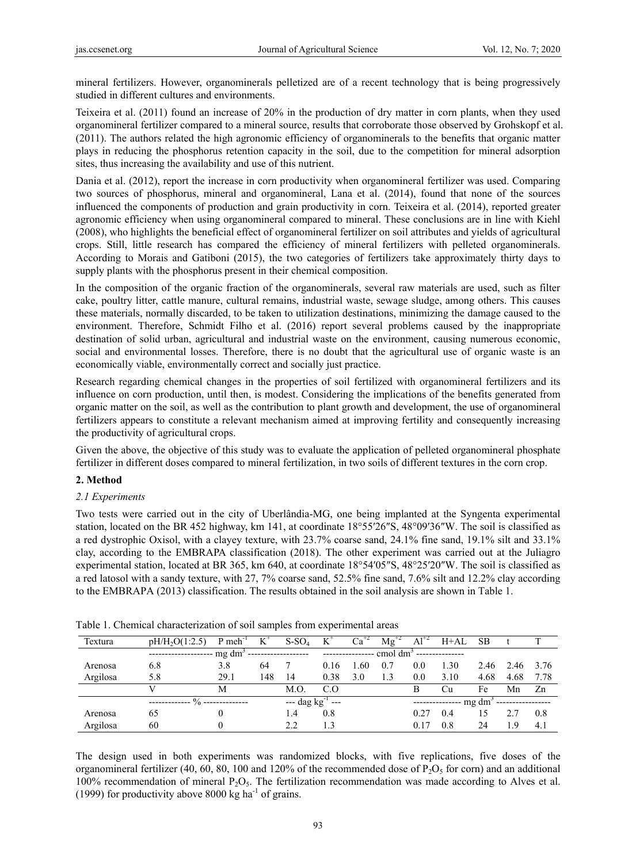mineral fertilizers. However, organominerals pelletized are of a recent technology that is being progressively studied in different cultures and environments.

Teixeira et al. (2011) found an increase of 20% in the production of dry matter in corn plants, when they used organomineral fertilizer compared to a mineral source, results that corroborate those observed by Grohskopf et al. (2011). The authors related the high agronomic efficiency of organominerals to the benefits that organic matter plays in reducing the phosphorus retention capacity in the soil, due to the competition for mineral adsorption sites, thus increasing the availability and use of this nutrient.

Dania et al. (2012), report the increase in corn productivity when organomineral fertilizer was used. Comparing two sources of phosphorus, mineral and organomineral, Lana et al. (2014), found that none of the sources influenced the components of production and grain productivity in corn. Teixeira et al. (2014), reported greater agronomic efficiency when using organomineral compared to mineral. These conclusions are in line with Kiehl (2008), who highlights the beneficial effect of organomineral fertilizer on soil attributes and yields of agricultural crops. Still, little research has compared the efficiency of mineral fertilizers with pelleted organominerals. According to Morais and Gatiboni (2015), the two categories of fertilizers take approximately thirty days to supply plants with the phosphorus present in their chemical composition.

In the composition of the organic fraction of the organominerals, several raw materials are used, such as filter cake, poultry litter, cattle manure, cultural remains, industrial waste, sewage sludge, among others. This causes these materials, normally discarded, to be taken to utilization destinations, minimizing the damage caused to the environment. Therefore, Schmidt Filho et al. (2016) report several problems caused by the inappropriate destination of solid urban, agricultural and industrial waste on the environment, causing numerous economic, social and environmental losses. Therefore, there is no doubt that the agricultural use of organic waste is an economically viable, environmentally correct and socially just practice.

Research regarding chemical changes in the properties of soil fertilized with organomineral fertilizers and its influence on corn production, until then, is modest. Considering the implications of the benefits generated from organic matter on the soil, as well as the contribution to plant growth and development, the use of organomineral fertilizers appears to constitute a relevant mechanism aimed at improving fertility and consequently increasing the productivity of agricultural crops.

Given the above, the objective of this study was to evaluate the application of pelleted organomineral phosphate fertilizer in different doses compared to mineral fertilization, in two soils of different textures in the corn crop.

## **2. Method**

## *2.1 Experiments*

Two tests were carried out in the city of Uberlândia-MG, one being implanted at the Syngenta experimental station, located on the BR 452 highway, km 141, at coordinate 18°55′26″S, 48°09′36″W. The soil is classified as a red dystrophic Oxisol, with a clayey texture, with 23.7% coarse sand, 24.1% fine sand, 19.1% silt and 33.1% clay, according to the EMBRAPA classification (2018). The other experiment was carried out at the Juliagro experimental station, located at BR 365, km 640, at coordinate 18°54′05″S, 48°25′20″W. The soil is classified as a red latosol with a sandy texture, with 27, 7% coarse sand, 52.5% fine sand, 7.6% silt and 12.2% clay according to the EMBRAPA (2013) classification. The results obtained in the soil analysis are shown in Table 1.

| Textura  | pH/H <sub>2</sub> O(1:2.5) | $P$ meh <sup>-1</sup> | K   | $S-SO4$                      | $K^{\tau}$     | Ca <sup>-</sup> | $Mg^T$             | $Al^{+2}$ | H+AL            | - SB |                             |      |
|----------|----------------------------|-----------------------|-----|------------------------------|----------------|-----------------|--------------------|-----------|-----------------|------|-----------------------------|------|
|          |                            | $mg \, dm^3$          |     | --------------------         |                |                 | $\text{cmol dm}^3$ |           |                 |      |                             |      |
| Arenosa  | 6.8                        | 3.8                   | 64  |                              | 0.16           | .60             | 0.7                | 0.0       | 1.30            | 2.46 | 2.46                        | 3.76 |
| Argilosa | 5.8                        | 29.1                  | 148 | 14                           | 0.38           | 3.0             | 1.3                | 0.0       | 3.10            | 4.68 | 4.68                        | 7.78 |
|          |                            | М                     |     | M.O.                         | C <sub>0</sub> |                 |                    | В         | Cu.             | Fe   | Mn                          | Zn   |
|          | $\%$                       |                       |     | $-$ dag kg <sup>-1</sup> --- |                |                 |                    |           | --------------- |      | $mg dm3$ ------------------ |      |
| Arenosa  | 65                         |                       |     | 1.4                          | 0.8            |                 |                    | 0.27      | 0.4             | 15   | 2.7                         | 0.8  |
| Argilosa | 60                         |                       |     | 2.2                          | 1.3            |                 |                    | 0.17      | 0.8             | 24   | 1.9                         | 4.1  |

|  |  | Table 1. Chemical characterization of soil samples from experimental areas |
|--|--|----------------------------------------------------------------------------|
|  |  |                                                                            |

The design used in both experiments was randomized blocks, with five replications, five doses of the organomineral fertilizer (40, 60, 80, 100 and 120% of the recommended dose of  $P_2O_5$  for corn) and an additional 100% recommendation of mineral  $P_2O_5$ . The fertilization recommendation was made according to Alves et al. (1999) for productivity above 8000 kg ha<sup>-1</sup> of grains.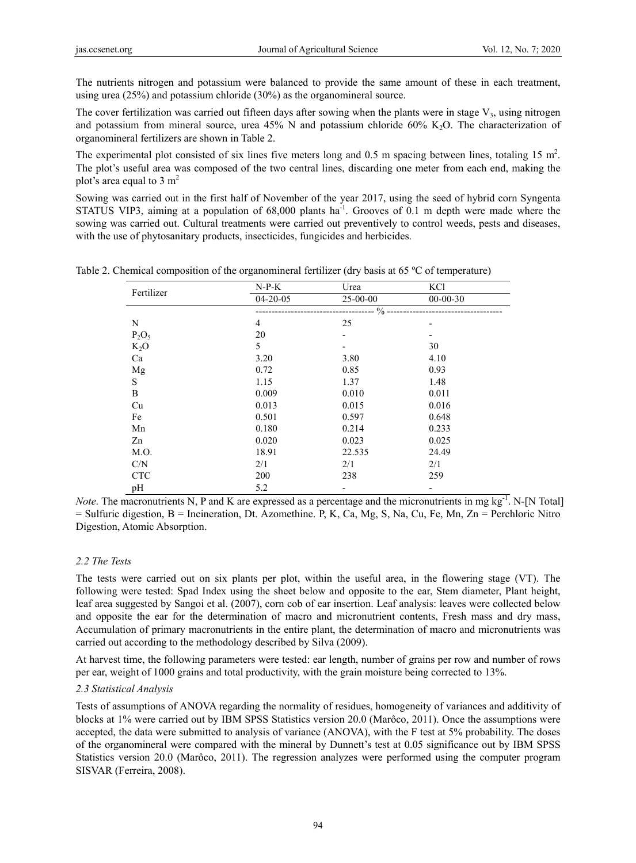The nutrients nitrogen and potassium were balanced to provide the same amount of these in each treatment, using urea (25%) and potassium chloride (30%) as the organomineral source.

The cover fertilization was carried out fifteen days after sowing when the plants were in stage  $V_3$ , using nitrogen and potassium from mineral source, urea  $45\%$  N and potassium chloride  $60\%$  K<sub>2</sub>O. The characterization of organomineral fertilizers are shown in Table 2.

The experimental plot consisted of six lines five meters long and  $0.5$  m spacing between lines, totaling  $15 \text{ m}^2$ . The plot's useful area was composed of the two central lines, discarding one meter from each end, making the plot's area equal to  $3 \text{ m}^2$ 

Sowing was carried out in the first half of November of the year 2017, using the seed of hybrid corn Syngenta STATUS VIP3, aiming at a population of 68,000 plants ha<sup>-1</sup>. Grooves of 0.1 m depth were made where the sowing was carried out. Cultural treatments were carried out preventively to control weeds, pests and diseases, with the use of phytosanitary products, insecticides, fungicides and herbicides.

| Fertilizer   | $N-P-K$        | Urea                     | KCl            |  |
|--------------|----------------|--------------------------|----------------|--|
|              | $04 - 20 - 05$ | 25-00-00                 | $00 - 00 - 30$ |  |
|              |                | $\frac{0}{0}$            |                |  |
| N            | 4              | 25                       |                |  |
| $P_2O_5$     | 20             | -                        |                |  |
| $K_2O$       | 5              | -                        | 30             |  |
| Ca           | 3.20           | 3.80                     | 4.10           |  |
| Mg           | 0.72           | 0.85                     | 0.93           |  |
| $\mathbf S$  | 1.15           | 1.37                     | 1.48           |  |
| $\, {\bf B}$ | 0.009          | 0.010                    | 0.011          |  |
| Cu           | 0.013          | 0.015                    | 0.016          |  |
| Fe           | 0.501          | 0.597                    | 0.648          |  |
| Mn           | 0.180          | 0.214                    | 0.233          |  |
| Zn           | 0.020          | 0.023                    | 0.025          |  |
| M.O.         | 18.91          | 22.535                   | 24.49          |  |
| C/N          | 2/1            | 2/1                      | 2/1            |  |
| <b>CTC</b>   | 200            | 238                      | 259            |  |
| pH           | 5.2            | $\overline{\phantom{a}}$ |                |  |

Table 2. Chemical composition of the organomineral fertilizer (dry basis at 65 °C of temperature)

*Note*. The macronutrients N, P and K are expressed as a percentage and the micronutrients in mg kg<sup>-1</sup>. N-[N Total]  $=$  Sulfuric digestion, B  $=$  Incineration, Dt. Azomethine. P, K, Ca, Mg, S, Na, Cu, Fe, Mn, Zn  $=$  Perchloric Nitro Digestion, Atomic Absorption.

## *2.2 The Tests*

The tests were carried out on six plants per plot, within the useful area, in the flowering stage (VT). The following were tested: Spad Index using the sheet below and opposite to the ear, Stem diameter, Plant height, leaf area suggested by Sangoi et al. (2007), corn cob of ear insertion. Leaf analysis: leaves were collected below and opposite the ear for the determination of macro and micronutrient contents, Fresh mass and dry mass, Accumulation of primary macronutrients in the entire plant, the determination of macro and micronutrients was carried out according to the methodology described by Silva (2009).

At harvest time, the following parameters were tested: ear length, number of grains per row and number of rows per ear, weight of 1000 grains and total productivity, with the grain moisture being corrected to 13%.

## *2.3 Statistical Analysis*

Tests of assumptions of ANOVA regarding the normality of residues, homogeneity of variances and additivity of blocks at 1% were carried out by IBM SPSS Statistics version 20.0 (Marôco, 2011). Once the assumptions were accepted, the data were submitted to analysis of variance (ANOVA), with the F test at 5% probability. The doses of the organomineral were compared with the mineral by Dunnett's test at 0.05 significance out by IBM SPSS Statistics version 20.0 (Marôco, 2011). The regression analyzes were performed using the computer program SISVAR (Ferreira, 2008).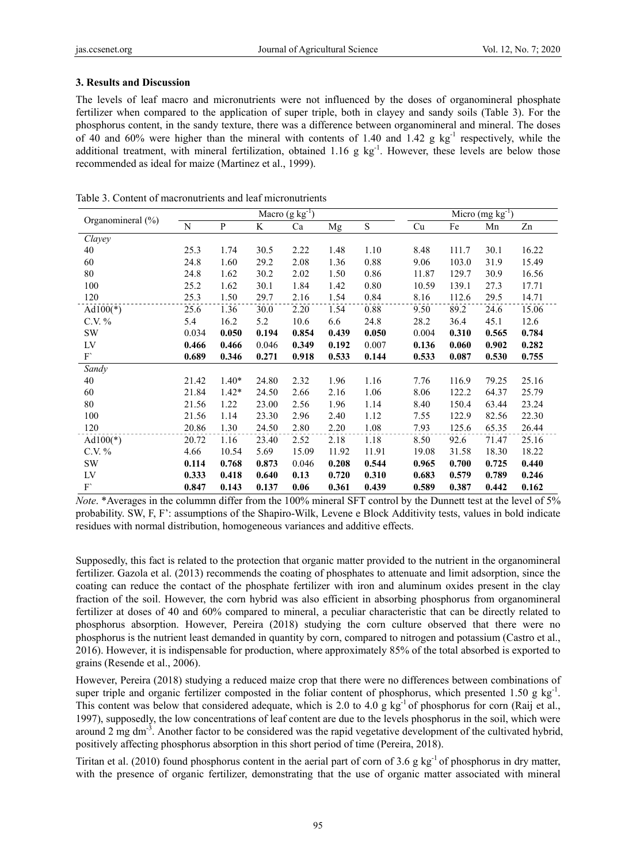## **3. Results and Discussion**

The levels of leaf macro and micronutrients were not influenced by the doses of organomineral phosphate fertilizer when compared to the application of super triple, both in clayey and sandy soils (Table 3). For the phosphorus content, in the sandy texture, there was a difference between organomineral and mineral. The doses of 40 and 60% were higher than the mineral with contents of 1.40 and 1.42 g kg<sup>-1</sup> respectively, while the additional treatment, with mineral fertilization, obtained 1.16 g kg<sup>-1</sup>. However, these levels are below those recommended as ideal for maize (Martinez et al., 1999).

|                       |       |         |       | Macro $(g kg^{-1})$ |       |       | Micro $(mg kg-1)$ |       |       |       |
|-----------------------|-------|---------|-------|---------------------|-------|-------|-------------------|-------|-------|-------|
| Organomineral $(\% )$ | N     | P       | K     | Ca                  | Mg    | S     | Cu                | Fe    | Mn    | Zn    |
| Clayey                |       |         |       |                     |       |       |                   |       |       |       |
| 40                    | 25.3  | 1.74    | 30.5  | 2.22                | 1.48  | 1.10  | 8.48              | 111.7 | 30.1  | 16.22 |
| 60                    | 24.8  | 1.60    | 29.2  | 2.08                | 1.36  | 0.88  | 9.06              | 103.0 | 31.9  | 15.49 |
| 80                    | 24.8  | 1.62    | 30.2  | 2.02                | 1.50  | 0.86  | 11.87             | 129.7 | 30.9  | 16.56 |
| 100                   | 25.2  | 1.62    | 30.1  | 1.84                | 1.42  | 0.80  | 10.59             | 139.1 | 27.3  | 17.71 |
| 120                   | 25.3  | 1.50    | 29.7  | 2.16                | 1.54  | 0.84  | 8.16              | 112.6 | 29.5  | 14.71 |
| Ad $100(*)$           | 25.6  | 1.36    | 30.0  | 2.20                | 1.54  | 0.88  | 9.50              | 89.2  | 24.6  | 15.06 |
| $C.V. \%$             | 5.4   | 16.2    | 5.2   | 10.6                | 6.6   | 24.8  | 28.2              | 36.4  | 45.1  | 12.6  |
| SW                    | 0.034 | 0.050   | 0.194 | 0.854               | 0.439 | 0.050 | 0.004             | 0.310 | 0.565 | 0.784 |
| LV                    | 0.466 | 0.466   | 0.046 | 0.349               | 0.192 | 0.007 | 0.136             | 0.060 | 0.902 | 0.282 |
| F'                    | 0.689 | 0.346   | 0.271 | 0.918               | 0.533 | 0.144 | 0.533             | 0.087 | 0.530 | 0.755 |
| Sandy                 |       |         |       |                     |       |       |                   |       |       |       |
| 40                    | 21.42 | $1.40*$ | 24.80 | 2.32                | 1.96  | 1.16  | 7.76              | 116.9 | 79.25 | 25.16 |
| 60                    | 21.84 | $1.42*$ | 24.50 | 2.66                | 2.16  | 1.06  | 8.06              | 122.2 | 64.37 | 25.79 |
| 80                    | 21.56 | 1.22    | 23.00 | 2.56                | 1.96  | 1.14  | 8.40              | 150.4 | 63.44 | 23.24 |
| 100                   | 21.56 | 1.14    | 23.30 | 2.96                | 2.40  | 1.12  | 7.55              | 122.9 | 82.56 | 22.30 |
| 120                   | 20.86 | 1.30    | 24.50 | 2.80                | 2.20  | 1.08  | 7.93              | 125.6 | 65.35 | 26.44 |
| Ad $100(*)$           | 20.72 | 1.16    | 23.40 | 2.52                | 2.18  | 1.18  | 8.50              | 92.6  | 71.47 | 25.16 |
| $C.V. \%$             | 4.66  | 10.54   | 5.69  | 15.09               | 11.92 | 11.91 | 19.08             | 31.58 | 18.30 | 18.22 |
| <b>SW</b>             | 0.114 | 0.768   | 0.873 | 0.046               | 0.208 | 0.544 | 0.965             | 0.700 | 0.725 | 0.440 |
| LV                    | 0.333 | 0.418   | 0.640 | 0.13                | 0.720 | 0.310 | 0.683             | 0.579 | 0.789 | 0.246 |
| F                     | 0.847 | 0.143   | 0.137 | 0.06                | 0.361 | 0.439 | 0.589             | 0.387 | 0.442 | 0.162 |

Table 3. Content of macronutrients and leaf micronutrients

*Note*. \*Averages in the colummn differ from the 100% mineral SFT control by the Dunnett test at the level of 5% probability. SW, F, F': assumptions of the Shapiro-Wilk, Levene e Block Additivity tests, values in bold indicate residues with normal distribution, homogeneous variances and additive effects.

Supposedly, this fact is related to the protection that organic matter provided to the nutrient in the organomineral fertilizer. Gazola et al. (2013) recommends the coating of phosphates to attenuate and limit adsorption, since the coating can reduce the contact of the phosphate fertilizer with iron and aluminum oxides present in the clay fraction of the soil. However, the corn hybrid was also efficient in absorbing phosphorus from organomineral fertilizer at doses of 40 and 60% compared to mineral, a peculiar characteristic that can be directly related to phosphorus absorption. However, Pereira (2018) studying the corn culture observed that there were no phosphorus is the nutrient least demanded in quantity by corn, compared to nitrogen and potassium (Castro et al., 2016). However, it is indispensable for production, where approximately 85% of the total absorbed is exported to grains (Resende et al., 2006).

However, Pereira (2018) studying a reduced maize crop that there were no differences between combinations of super triple and organic fertilizer composted in the foliar content of phosphorus, which presented 1.50 g kg<sup>-1</sup>. This content was below that considered adequate, which is 2.0 to 4.0 g  $kg^{-1}$  of phosphorus for corn (Raij et al., 1997), supposedly, the low concentrations of leaf content are due to the levels phosphorus in the soil, which were around 2 mg dm<sup>-3</sup>. Another factor to be considered was the rapid vegetative development of the cultivated hybrid, positively affecting phosphorus absorption in this short period of time (Pereira, 2018).

Tiritan et al. (2010) found phosphorus content in the aerial part of corn of 3.6 g kg<sup>-1</sup> of phosphorus in dry matter, with the presence of organic fertilizer, demonstrating that the use of organic matter associated with mineral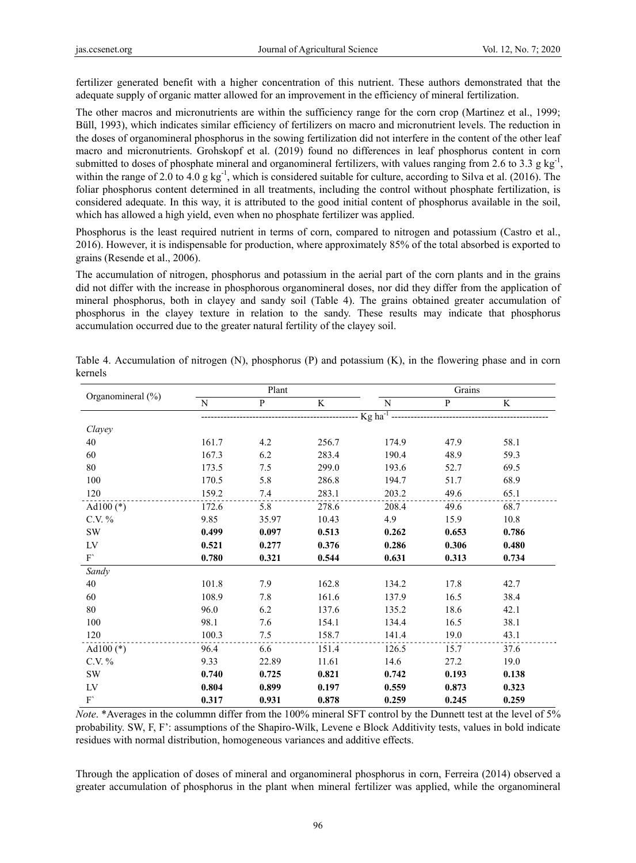fertilizer generated benefit with a higher concentration of this nutrient. These authors demonstrated that the adequate supply of organic matter allowed for an improvement in the efficiency of mineral fertilization.

The other macros and micronutrients are within the sufficiency range for the corn crop (Martinez et al., 1999; Büll, 1993), which indicates similar efficiency of fertilizers on macro and micronutrient levels. The reduction in the doses of organomineral phosphorus in the sowing fertilization did not interfere in the content of the other leaf macro and micronutrients. Grohskopf et al. (2019) found no differences in leaf phosphorus content in corn submitted to doses of phosphate mineral and organomineral fertilizers, with values ranging from 2.6 to 3.3 g kg<sup>-1</sup>, within the range of 2.0 to 4.0 g kg<sup>-1</sup>, which is considered suitable for culture, according to Silva et al. (2016). The foliar phosphorus content determined in all treatments, including the control without phosphate fertilization, is considered adequate. In this way, it is attributed to the good initial content of phosphorus available in the soil, which has allowed a high yield, even when no phosphate fertilizer was applied.

Phosphorus is the least required nutrient in terms of corn, compared to nitrogen and potassium (Castro et al., 2016). However, it is indispensable for production, where approximately 85% of the total absorbed is exported to grains (Resende et al., 2006).

The accumulation of nitrogen, phosphorus and potassium in the aerial part of the corn plants and in the grains did not differ with the increase in phosphorous organomineral doses, nor did they differ from the application of mineral phosphorus, both in clayey and sandy soil (Table 4). The grains obtained greater accumulation of phosphorus in the clayey texture in relation to the sandy. These results may indicate that phosphorus accumulation occurred due to the greater natural fertility of the clayey soil.

|                   |       | Plant        |                                     |           | Grains       |       |
|-------------------|-------|--------------|-------------------------------------|-----------|--------------|-------|
| Organomineral (%) | N     | $\mathbf{P}$ | K                                   | ${\bf N}$ | $\mathbf{P}$ | K     |
|                   |       |              | --------------- Kg ha <sup>-1</sup> |           |              |       |
| Clayey            |       |              |                                     |           |              |       |
| 40                | 161.7 | 4.2          | 256.7                               | 174.9     | 47.9         | 58.1  |
| 60                | 167.3 | 6.2          | 283.4                               | 190.4     | 48.9         | 59.3  |
| $80\,$            | 173.5 | 7.5          | 299.0                               | 193.6     | 52.7         | 69.5  |
| 100               | 170.5 | 5.8          | 286.8                               | 194.7     | 51.7         | 68.9  |
| 120               | 159.2 | 7.4          | 283.1                               | 203.2     | 49.6         | 65.1  |
| Ad $100$ (*)      | 172.6 | 5.8          | 278.6                               | 208.4     | 49.6         | 68.7  |
| C.V. %            | 9.85  | 35.97        | 10.43                               | 4.9       | 15.9         | 10.8  |
| SW                | 0.499 | 0.097        | 0.513                               | 0.262     | 0.653        | 0.786 |
| LV                | 0.521 | 0.277        | 0.376                               | 0.286     | 0.306        | 0.480 |
| F'                | 0.780 | 0.321        | 0.544                               | 0.631     | 0.313        | 0.734 |
| Sandy             |       |              |                                     |           |              |       |
| 40                | 101.8 | 7.9          | 162.8                               | 134.2     | 17.8         | 42.7  |
| 60                | 108.9 | 7.8          | 161.6                               | 137.9     | 16.5         | 38.4  |
| 80                | 96.0  | 6.2          | 137.6                               | 135.2     | 18.6         | 42.1  |
| 100               | 98.1  | 7.6          | 154.1                               | 134.4     | 16.5         | 38.1  |
| 120               | 100.3 | 7.5          | 158.7                               | 141.4     | 19.0         | 43.1  |
| Ad100 $(*)$       | 96.4  | 6.6          | 151.4                               | 126.5     | 15.7         | 37.6  |
| C.V. %            | 9.33  | 22.89        | 11.61                               | 14.6      | 27.2         | 19.0  |
| SW                | 0.740 | 0.725        | 0.821                               | 0.742     | 0.193        | 0.138 |
| LV                | 0.804 | 0.899        | 0.197                               | 0.559     | 0.873        | 0.323 |
| F'                | 0.317 | 0.931        | 0.878                               | 0.259     | 0.245        | 0.259 |

Table 4. Accumulation of nitrogen (N), phosphorus (P) and potassium (K), in the flowering phase and in corn kernels

*Note*. \*Averages in the colummn differ from the 100% mineral SFT control by the Dunnett test at the level of 5% probability. SW, F, F': assumptions of the Shapiro-Wilk, Levene e Block Additivity tests, values in bold indicate residues with normal distribution, homogeneous variances and additive effects.

Through the application of doses of mineral and organomineral phosphorus in corn, Ferreira (2014) observed a greater accumulation of phosphorus in the plant when mineral fertilizer was applied, while the organomineral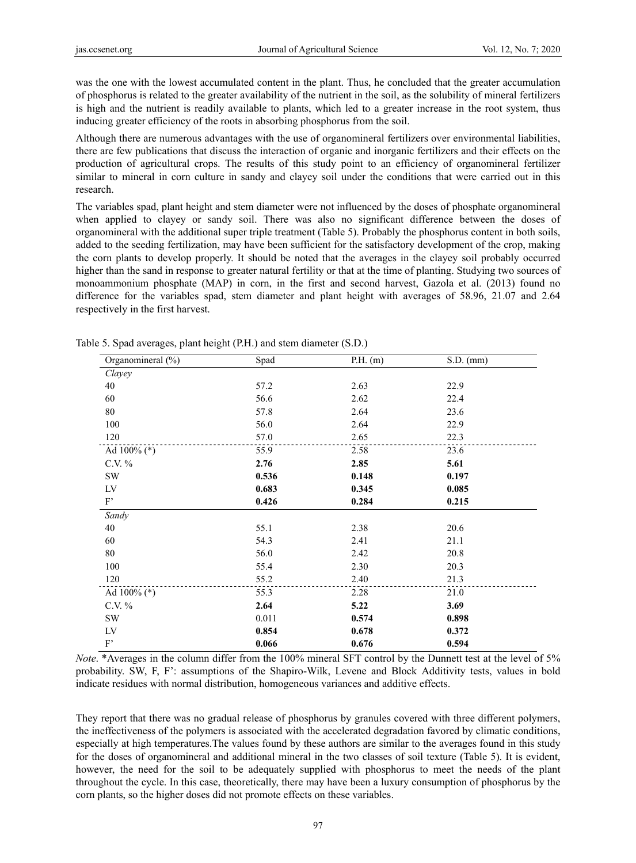was the one with the lowest accumulated content in the plant. Thus, he concluded that the greater accumulation of phosphorus is related to the greater availability of the nutrient in the soil, as the solubility of mineral fertilizers is high and the nutrient is readily available to plants, which led to a greater increase in the root system, thus inducing greater efficiency of the roots in absorbing phosphorus from the soil.

Although there are numerous advantages with the use of organomineral fertilizers over environmental liabilities, there are few publications that discuss the interaction of organic and inorganic fertilizers and their effects on the production of agricultural crops. The results of this study point to an efficiency of organomineral fertilizer similar to mineral in corn culture in sandy and clayey soil under the conditions that were carried out in this research.

The variables spad, plant height and stem diameter were not influenced by the doses of phosphate organomineral when applied to clayey or sandy soil. There was also no significant difference between the doses of organomineral with the additional super triple treatment (Table 5). Probably the phosphorus content in both soils, added to the seeding fertilization, may have been sufficient for the satisfactory development of the crop, making the corn plants to develop properly. It should be noted that the averages in the clayey soil probably occurred higher than the sand in response to greater natural fertility or that at the time of planting. Studying two sources of monoammonium phosphate (MAP) in corn, in the first and second harvest, Gazola et al. (2013) found no difference for the variables spad, stem diameter and plant height with averages of 58.96, 21.07 and 2.64 respectively in the first harvest.

| Organomineral (%)   | Spad  | $P.H.$ (m) | $S.D.$ (mm) |
|---------------------|-------|------------|-------------|
| Clayey              |       |            |             |
| 40                  | 57.2  | 2.63       | 22.9        |
| 60                  | 56.6  | 2.62       | 22.4        |
| 80                  | 57.8  | 2.64       | 23.6        |
| 100                 | 56.0  | 2.64       | 22.9        |
| 120                 | 57.0  | 2.65       | 22.3        |
| Ad $100\%$ (*)      | 55.9  | 2.58       | 23.6        |
| C.V. %              | 2.76  | 2.85       | 5.61        |
| <b>SW</b>           | 0.536 | 0.148      | 0.197       |
| LV                  | 0.683 | 0.345      | 0.085       |
| $\mathbf{F}^{\ast}$ | 0.426 | 0.284      | 0.215       |
| Sandy               |       |            |             |
| 40                  | 55.1  | 2.38       | 20.6        |
| 60                  | 54.3  | 2.41       | 21.1        |
| 80                  | 56.0  | 2.42       | 20.8        |
| 100                 | 55.4  | 2.30       | 20.3        |
| 120                 | 55.2  | 2.40       | 21.3        |
| Ad 100% (*)         | 55.3  | 2.28       | 21.0        |
| C.V. %              | 2.64  | 5.22       | 3.69        |
| SW                  | 0.011 | 0.574      | 0.898       |
| LV                  | 0.854 | 0.678      | 0.372       |
| $\mathbf{F}^{\ast}$ | 0.066 | 0.676      | 0.594       |

Table 5. Spad averages, plant height (P.H.) and stem diameter (S.D.)

*Note*. \*Averages in the column differ from the 100% mineral SFT control by the Dunnett test at the level of 5% probability. SW, F, F': assumptions of the Shapiro-Wilk, Levene and Block Additivity tests, values in bold indicate residues with normal distribution, homogeneous variances and additive effects.

They report that there was no gradual release of phosphorus by granules covered with three different polymers, the ineffectiveness of the polymers is associated with the accelerated degradation favored by climatic conditions, especially at high temperatures.The values found by these authors are similar to the averages found in this study for the doses of organomineral and additional mineral in the two classes of soil texture (Table 5). It is evident, however, the need for the soil to be adequately supplied with phosphorus to meet the needs of the plant throughout the cycle. In this case, theoretically, there may have been a luxury consumption of phosphorus by the corn plants, so the higher doses did not promote effects on these variables.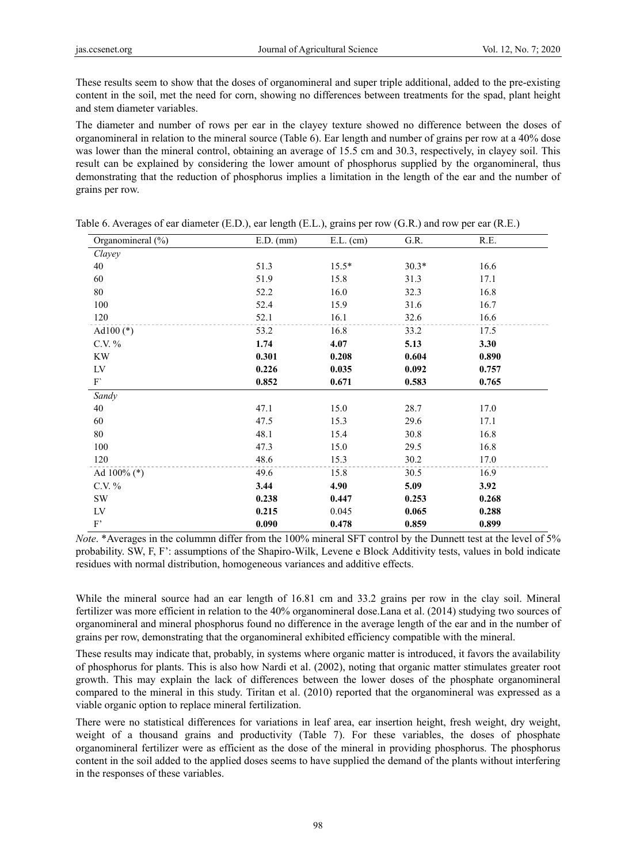These results seem to show that the doses of organomineral and super triple additional, added to the pre-existing content in the soil, met the need for corn, showing no differences between treatments for the spad, plant height and stem diameter variables.

The diameter and number of rows per ear in the clayey texture showed no difference between the doses of organomineral in relation to the mineral source (Table 6). Ear length and number of grains per row at a 40% dose was lower than the mineral control, obtaining an average of 15.5 cm and 30.3, respectively, in clayey soil. This result can be explained by considering the lower amount of phosphorus supplied by the organomineral, thus demonstrating that the reduction of phosphorus implies a limitation in the length of the ear and the number of grains per row.

| Organomineral (%)         | $E.D.$ (mm) | $E.L.$ (cm) | G.R.    | R.E.  |  |
|---------------------------|-------------|-------------|---------|-------|--|
| Clayey                    |             |             |         |       |  |
| 40                        | 51.3        | $15.5*$     | $30.3*$ | 16.6  |  |
| 60                        | 51.9        | 15.8        | 31.3    | 17.1  |  |
| $80\,$                    | 52.2        | 16.0        | 32.3    | 16.8  |  |
| 100                       | 52.4        | 15.9        | 31.6    | 16.7  |  |
| 120                       | 52.1        | 16.1        | 32.6    | 16.6  |  |
| Ad $100$ (*)              | 53.2        | 16.8        | 33.2    | 17.5  |  |
| C.V. $%$                  | 1.74        | 4.07        | 5.13    | 3.30  |  |
| <b>KW</b>                 | 0.301       | 0.208       | 0.604   | 0.890 |  |
| LV                        | 0.226       | 0.035       | 0.092   | 0.757 |  |
| $\mathbf{F}$              | 0.852       | 0.671       | 0.583   | 0.765 |  |
| Sandy                     |             |             |         |       |  |
| 40                        | 47.1        | 15.0        | 28.7    | 17.0  |  |
| 60                        | 47.5        | 15.3        | 29.6    | 17.1  |  |
| 80                        | 48.1        | 15.4        | 30.8    | 16.8  |  |
| 100                       | 47.3        | 15.0        | 29.5    | 16.8  |  |
| 120                       | 48.6        | 15.3        | 30.2    | 17.0  |  |
| Ad $100\%$ (*)            | 49.6        | 15.8        | 30.5    | 16.9  |  |
| C.V. %                    | 3.44        | 4.90        | 5.09    | 3.92  |  |
| <b>SW</b>                 | 0.238       | 0.447       | 0.253   | 0.268 |  |
| LV                        | 0.215       | 0.045       | 0.065   | 0.288 |  |
| $\mathrm{F}^{\mathrm{*}}$ | 0.090       | 0.478       | 0.859   | 0.899 |  |

| Table 6. Averages of ear diameter (E.D.), ear length (E.L.), grains per row (G.R.) and row per ear (R.E.) |  |  |  |  |
|-----------------------------------------------------------------------------------------------------------|--|--|--|--|
|                                                                                                           |  |  |  |  |

*Note*. \*Averages in the colummn differ from the 100% mineral SFT control by the Dunnett test at the level of 5% probability. SW, F, F': assumptions of the Shapiro-Wilk, Levene e Block Additivity tests, values in bold indicate residues with normal distribution, homogeneous variances and additive effects.

While the mineral source had an ear length of 16.81 cm and 33.2 grains per row in the clay soil. Mineral fertilizer was more efficient in relation to the 40% organomineral dose.Lana et al. (2014) studying two sources of organomineral and mineral phosphorus found no difference in the average length of the ear and in the number of grains per row, demonstrating that the organomineral exhibited efficiency compatible with the mineral.

These results may indicate that, probably, in systems where organic matter is introduced, it favors the availability of phosphorus for plants. This is also how Nardi et al. (2002), noting that organic matter stimulates greater root growth. This may explain the lack of differences between the lower doses of the phosphate organomineral compared to the mineral in this study. Tiritan et al. (2010) reported that the organomineral was expressed as a viable organic option to replace mineral fertilization.

There were no statistical differences for variations in leaf area, ear insertion height, fresh weight, dry weight, weight of a thousand grains and productivity (Table 7). For these variables, the doses of phosphate organomineral fertilizer were as efficient as the dose of the mineral in providing phosphorus. The phosphorus content in the soil added to the applied doses seems to have supplied the demand of the plants without interfering in the responses of these variables.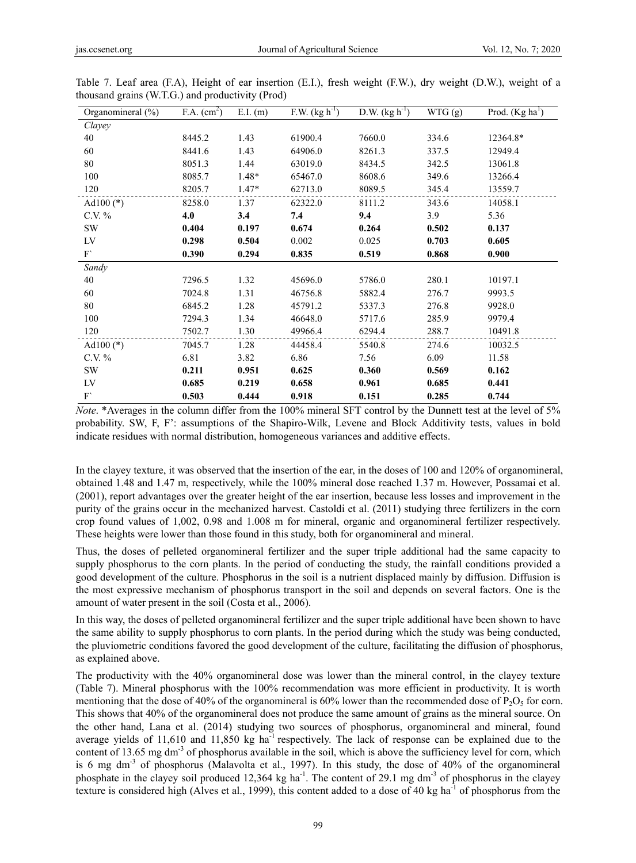| Organomineral (%) | F.A. (cm <sup>2</sup> ) | $E.I.$ (m) | F.W. $(kg h^{-1})$ | D.W. $(kg h^{-1})$ | WTG (g) | Prod. $(Kg ha1)$ |
|-------------------|-------------------------|------------|--------------------|--------------------|---------|------------------|
| Clayey            |                         |            |                    |                    |         |                  |
| 40                | 8445.2                  | 1.43       | 61900.4            | 7660.0             | 334.6   | 12364.8*         |
| 60                | 8441.6                  | 1.43       | 64906.0            | 8261.3             | 337.5   | 12949.4          |
| 80                | 8051.3                  | 1.44       | 63019.0            | 8434.5             | 342.5   | 13061.8          |
| 100               | 8085.7                  | $1.48*$    | 65467.0            | 8608.6             | 349.6   | 13266.4          |
| 120               | 8205.7                  | $1.47*$    | 62713.0            | 8089.5             | 345.4   | 13559.7          |
| Ad $100$ (*)      | 8258.0                  | 1.37       | 62322.0            | 8111.2             | 343.6   | 14058.1          |
| C.V. $%$          | 4.0                     | 3.4        | 7.4                | 9.4                | 3.9     | 5.36             |
| SW                | 0.404                   | 0.197      | 0.674              | 0.264              | 0.502   | 0.137            |
| LV                | 0.298                   | 0.504      | 0.002              | 0.025              | 0.703   | 0.605            |
| ${\rm F}$         | 0.390                   | 0.294      | 0.835              | 0.519              | 0.868   | 0.900            |
| Sandy             |                         |            |                    |                    |         |                  |
| 40                | 7296.5                  | 1.32       | 45696.0            | 5786.0             | 280.1   | 10197.1          |
| 60                | 7024.8                  | 1.31       | 46756.8            | 5882.4             | 276.7   | 9993.5           |
| 80                | 6845.2                  | 1.28       | 45791.2            | 5337.3             | 276.8   | 9928.0           |
| 100               | 7294.3                  | 1.34       | 46648.0            | 5717.6             | 285.9   | 9979.4           |
| 120               | 7502.7                  | 1.30       | 49966.4            | 6294.4             | 288.7   | 10491.8          |
| Ad $100$ (*)      | 7045.7                  | 1.28       | 44458.4            | 5540.8             | 274.6   | 10032.5          |
| C.V. $%$          | 6.81                    | 3.82       | 6.86               | 7.56               | 6.09    | 11.58            |
| <b>SW</b>         | 0.211                   | 0.951      | 0.625              | 0.360              | 0.569   | 0.162            |
| LV                | 0.685                   | 0.219      | 0.658              | 0.961              | 0.685   | 0.441            |
| F'                | 0.503                   | 0.444      | 0.918              | 0.151              | 0.285   | 0.744            |

Table 7. Leaf area (F.A), Height of ear insertion (E.I.), fresh weight (F.W.), dry weight (D.W.), weight of a thousand grains (W.T.G.) and productivity (Prod)

*Note*. \*Averages in the column differ from the 100% mineral SFT control by the Dunnett test at the level of 5% probability. SW, F, F': assumptions of the Shapiro-Wilk, Levene and Block Additivity tests, values in bold indicate residues with normal distribution, homogeneous variances and additive effects.

In the clayey texture, it was observed that the insertion of the ear, in the doses of 100 and 120% of organomineral, obtained 1.48 and 1.47 m, respectively, while the 100% mineral dose reached 1.37 m. However, Possamai et al. (2001), report advantages over the greater height of the ear insertion, because less losses and improvement in the purity of the grains occur in the mechanized harvest. Castoldi et al. (2011) studying three fertilizers in the corn crop found values of 1,002, 0.98 and 1.008 m for mineral, organic and organomineral fertilizer respectively. These heights were lower than those found in this study, both for organomineral and mineral.

Thus, the doses of pelleted organomineral fertilizer and the super triple additional had the same capacity to supply phosphorus to the corn plants. In the period of conducting the study, the rainfall conditions provided a good development of the culture. Phosphorus in the soil is a nutrient displaced mainly by diffusion. Diffusion is the most expressive mechanism of phosphorus transport in the soil and depends on several factors. One is the amount of water present in the soil (Costa et al., 2006).

In this way, the doses of pelleted organomineral fertilizer and the super triple additional have been shown to have the same ability to supply phosphorus to corn plants. In the period during which the study was being conducted, the pluviometric conditions favored the good development of the culture, facilitating the diffusion of phosphorus, as explained above.

The productivity with the 40% organomineral dose was lower than the mineral control, in the clayey texture (Table 7). Mineral phosphorus with the 100% recommendation was more efficient in productivity. It is worth mentioning that the dose of 40% of the organomineral is 60% lower than the recommended dose of  $P_2O_5$  for corn. This shows that 40% of the organomineral does not produce the same amount of grains as the mineral source. On the other hand, Lana et al. (2014) studying two sources of phosphorus, organomineral and mineral, found average yields of 11,610 and 11,850 kg ha<sup>-1</sup> respectively. The lack of response can be explained due to the content of 13.65 mg dm<sup>-3</sup> of phosphorus available in the soil, which is above the sufficiency level for corn, which is 6 mg dm<sup>-3</sup> of phosphorus (Malavolta et al., 1997). In this study, the dose of 40% of the organomineral phosphate in the clayey soil produced 12,364 kg ha<sup>-1</sup>. The content of 29.1 mg dm<sup>-3</sup> of phosphorus in the clayey texture is considered high (Alves et al., 1999), this content added to a dose of 40 kg ha<sup>-1</sup> of phosphorus from the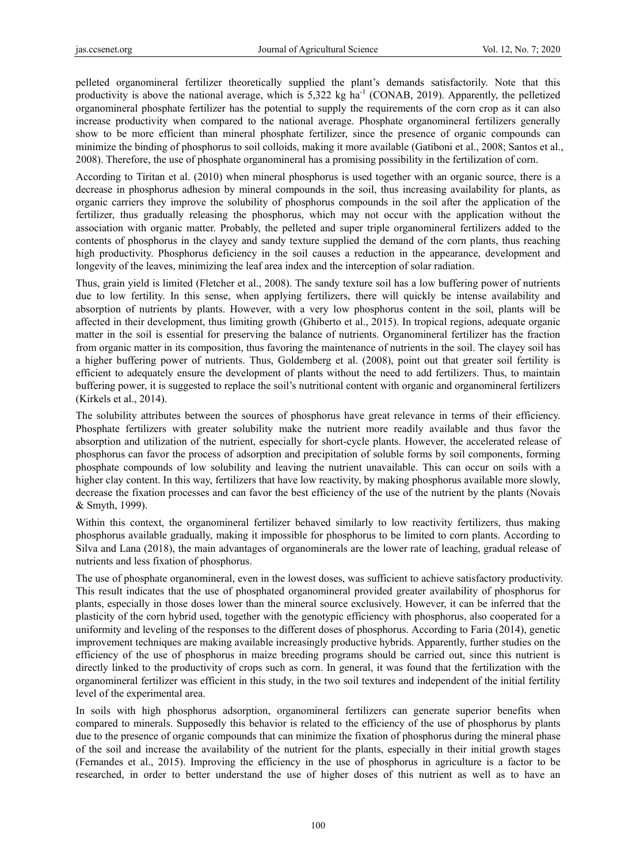pelleted organomineral fertilizer theoretically supplied the plant's demands satisfactorily. Note that this productivity is above the national average, which is  $5,322 \text{ kg } \text{ha}^{-1}$  (CONAB, 2019). Apparently, the pelletized organomineral phosphate fertilizer has the potential to supply the requirements of the corn crop as it can also increase productivity when compared to the national average. Phosphate organomineral fertilizers generally show to be more efficient than mineral phosphate fertilizer, since the presence of organic compounds can minimize the binding of phosphorus to soil colloids, making it more available (Gatiboni et al., 2008; Santos et al., 2008). Therefore, the use of phosphate organomineral has a promising possibility in the fertilization of corn.

According to Tiritan et al. (2010) when mineral phosphorus is used together with an organic source, there is a decrease in phosphorus adhesion by mineral compounds in the soil, thus increasing availability for plants, as organic carriers they improve the solubility of phosphorus compounds in the soil after the application of the fertilizer, thus gradually releasing the phosphorus, which may not occur with the application without the association with organic matter. Probably, the pelleted and super triple organomineral fertilizers added to the contents of phosphorus in the clayey and sandy texture supplied the demand of the corn plants, thus reaching high productivity. Phosphorus deficiency in the soil causes a reduction in the appearance, development and longevity of the leaves, minimizing the leaf area index and the interception of solar radiation.

Thus, grain yield is limited (Fletcher et al., 2008). The sandy texture soil has a low buffering power of nutrients due to low fertility. In this sense, when applying fertilizers, there will quickly be intense availability and absorption of nutrients by plants. However, with a very low phosphorus content in the soil, plants will be affected in their development, thus limiting growth (Ghiberto et al., 2015). In tropical regions, adequate organic matter in the soil is essential for preserving the balance of nutrients. Organomineral fertilizer has the fraction from organic matter in its composition, thus favoring the maintenance of nutrients in the soil. The clayey soil has a higher buffering power of nutrients. Thus, Goldemberg et al. (2008), point out that greater soil fertility is efficient to adequately ensure the development of plants without the need to add fertilizers. Thus, to maintain buffering power, it is suggested to replace the soil's nutritional content with organic and organomineral fertilizers (Kirkels et al., 2014).

The solubility attributes between the sources of phosphorus have great relevance in terms of their efficiency. Phosphate fertilizers with greater solubility make the nutrient more readily available and thus favor the absorption and utilization of the nutrient, especially for short-cycle plants. However, the accelerated release of phosphorus can favor the process of adsorption and precipitation of soluble forms by soil components, forming phosphate compounds of low solubility and leaving the nutrient unavailable. This can occur on soils with a higher clay content. In this way, fertilizers that have low reactivity, by making phosphorus available more slowly, decrease the fixation processes and can favor the best efficiency of the use of the nutrient by the plants (Novais & Smyth, 1999).

Within this context, the organomineral fertilizer behaved similarly to low reactivity fertilizers, thus making phosphorus available gradually, making it impossible for phosphorus to be limited to corn plants. According to Silva and Lana (2018), the main advantages of organominerals are the lower rate of leaching, gradual release of nutrients and less fixation of phosphorus.

The use of phosphate organomineral, even in the lowest doses, was sufficient to achieve satisfactory productivity. This result indicates that the use of phosphated organomineral provided greater availability of phosphorus for plants, especially in those doses lower than the mineral source exclusively. However, it can be inferred that the plasticity of the corn hybrid used, together with the genotypic efficiency with phosphorus, also cooperated for a uniformity and leveling of the responses to the different doses of phosphorus. According to Faria (2014), genetic improvement techniques are making available increasingly productive hybrids. Apparently, further studies on the efficiency of the use of phosphorus in maize breeding programs should be carried out, since this nutrient is directly linked to the productivity of crops such as corn. In general, it was found that the fertilization with the organomineral fertilizer was efficient in this study, in the two soil textures and independent of the initial fertility level of the experimental area.

In soils with high phosphorus adsorption, organomineral fertilizers can generate superior benefits when compared to minerals. Supposedly this behavior is related to the efficiency of the use of phosphorus by plants due to the presence of organic compounds that can minimize the fixation of phosphorus during the mineral phase of the soil and increase the availability of the nutrient for the plants, especially in their initial growth stages (Fernandes et al., 2015). Improving the efficiency in the use of phosphorus in agriculture is a factor to be researched, in order to better understand the use of higher doses of this nutrient as well as to have an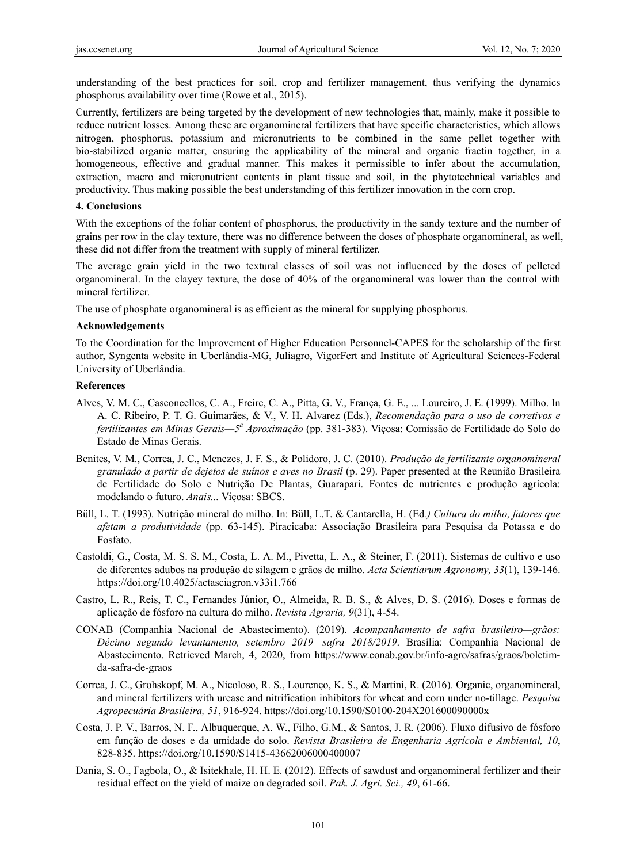understanding of the best practices for soil, crop and fertilizer management, thus verifying the dynamics phosphorus availability over time (Rowe et al., 2015).

Currently, fertilizers are being targeted by the development of new technologies that, mainly, make it possible to reduce nutrient losses. Among these are organomineral fertilizers that have specific characteristics, which allows nitrogen, phosphorus, potassium and micronutrients to be combined in the same pellet together with bio-stabilized organic matter, ensuring the applicability of the mineral and organic fractin together, in a homogeneous, effective and gradual manner. This makes it permissible to infer about the accumulation, extraction, macro and micronutrient contents in plant tissue and soil, in the phytotechnical variables and productivity. Thus making possible the best understanding of this fertilizer innovation in the corn crop.

#### **4. Conclusions**

With the exceptions of the foliar content of phosphorus, the productivity in the sandy texture and the number of grains per row in the clay texture, there was no difference between the doses of phosphate organomineral, as well, these did not differ from the treatment with supply of mineral fertilizer.

The average grain yield in the two textural classes of soil was not influenced by the doses of pelleted organomineral. In the clayey texture, the dose of 40% of the organomineral was lower than the control with mineral fertilizer.

The use of phosphate organomineral is as efficient as the mineral for supplying phosphorus.

#### **Acknowledgements**

To the Coordination for the Improvement of Higher Education Personnel-CAPES for the scholarship of the first author, Syngenta website in Uberlândia-MG, Juliagro, VigorFert and Institute of Agricultural Sciences-Federal University of Uberlândia.

#### **References**

- Alves, V. M. C., Casconcellos, C. A., Freire, C. A., Pitta, G. V., França, G. E., ... Loureiro, J. E. (1999). Milho. In A. C. Ribeiro, P. T. G. Guimarães, & V., V. H. Alvarez (Eds.), *Recomendação para o uso de corretivos e fertilizantes em Minas Gerais—5<sup>a</sup> Aproximação* (pp. 381-383). Viçosa: Comissão de Fertilidade do Solo do Estado de Minas Gerais.
- Benites, V. M., Correa, J. C., Menezes, J. F. S., & Polidoro, J. C. (2010). *Produção de fertilizante organomineral granulado a partir de dejetos de suínos e aves no Brasil* (p. 29). Paper presented at the Reunião Brasileira de Fertilidade do Solo e Nutrição De Plantas, Guarapari. Fontes de nutrientes e produção agrícola: modelando o futuro. *Anais...* Viçosa: SBCS.
- Büll, L. T. (1993). Nutrição mineral do milho. In: Büll, L.T. & Cantarella, H. (Ed*.) Cultura do milho, fatores que afetam a produtividade* (pp. 63-145). Piracicaba: Associação Brasileira para Pesquisa da Potassa e do Fosfato.
- Castoldi, G., Costa, M. S. S. M., Costa, L. A. M., Pivetta, L. A., & Steiner, F. (2011). Sistemas de cultivo e uso de diferentes adubos na produção de silagem e grãos de milho. *Acta Scientiarum Agronomy, 33*(1), 139-146. https://doi.org/10.4025/actasciagron.v33i1.766
- Castro, L. R., Reis, T. C., Fernandes Júnior, O., Almeida, R. B. S., & Alves, D. S. (2016). Doses e formas de aplicação de fósforo na cultura do milho. *Revista Agraria, 9*(31), 4-54.
- CONAB (Companhia Nacional de Abastecimento). (2019). *Acompanhamento de safra brasileiro—grãos: Décimo segundo levantamento, setembro 2019—safra 2018/2019*. Brasília: Companhia Nacional de Abastecimento. Retrieved March, 4, 2020, from https://www.conab.gov.br/info-agro/safras/graos/boletimda-safra-de-graos
- Correa, J. C., Grohskopf, M. A., Nicoloso, R. S., Lourenço, K. S., & Martini, R. (2016). Organic, organomineral, and mineral fertilizers with urease and nitrification inhibitors for wheat and corn under no-tillage. *Pesquisa Agropecuária Brasileira, 51*, 916-924. https://doi.org/10.1590/S0100-204X201600090000x
- Costa, J. P. V., Barros, N. F., Albuquerque, A. W., Filho, G.M., & Santos, J. R. (2006). Fluxo difusivo de fósforo em função de doses e da umidade do solo. *Revista Brasileira de Engenharia Agrícola e Ambiental, 10*, 828-835. https://doi.org/10.1590/S1415-43662006000400007
- Dania, S. O., Fagbola, O., & Isitekhale, H. H. E. (2012). Effects of sawdust and organomineral fertilizer and their residual effect on the yield of maize on degraded soil. *Pak. J. Agri. Sci., 49*, 61-66.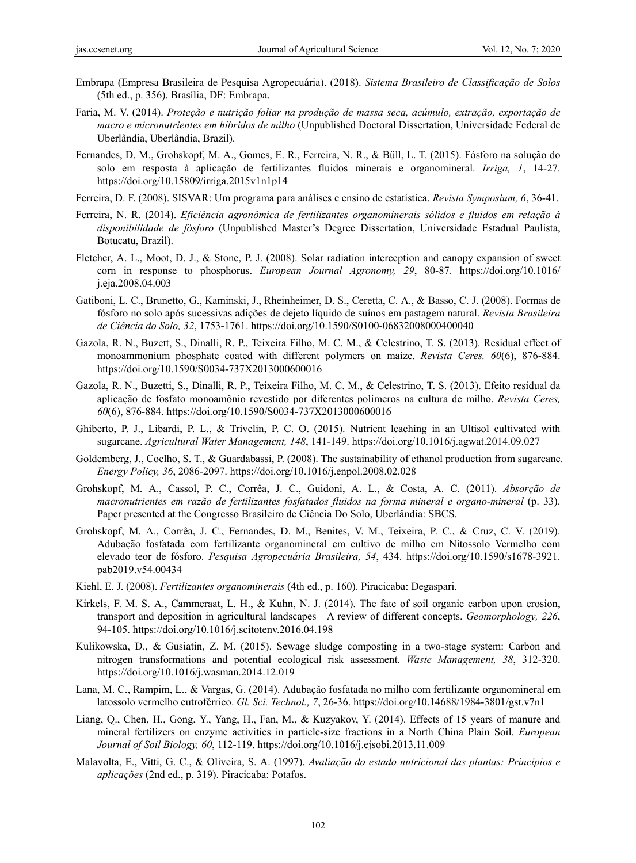- Embrapa (Empresa Brasileira de Pesquisa Agropecuária). (2018). *Sistema Brasileiro de Classificação de Solos*  (5th ed., p. 356). Brasília, DF: Embrapa.
- Faria, M. V. (2014). *Proteção e nutrição foliar na produção de massa seca, acúmulo, extração, exportação de macro e micronutrientes em híbridos de milho* (Unpublished Doctoral Dissertation, Universidade Federal de Uberlândia, Uberlândia, Brazil).
- Fernandes, D. M., Grohskopf, M. A., Gomes, E. R., Ferreira, N. R., & Büll, L. T. (2015). Fósforo na solução do solo em resposta à aplicação de fertilizantes fluidos minerais e organomineral. *Irriga, 1*, 14-27. https://doi.org/10.15809/irriga.2015v1n1p14
- Ferreira, D. F. (2008). SISVAR: Um programa para análises e ensino de estatística. *Revista Symposium, 6*, 36-41.
- Ferreira, N. R. (2014). *Eficiência agronômica de fertilizantes organominerais sólidos e fluidos em relação à disponibilidade de fósforo* (Unpublished Master's Degree Dissertation, Universidade Estadual Paulista, Botucatu, Brazil).
- Fletcher, A. L., Moot, D. J., & Stone, P. J. (2008). Solar radiation interception and canopy expansion of sweet corn in response to phosphorus. *European Journal Agronomy, 29*, 80-87. https://doi.org/10.1016/ j.eja.2008.04.003
- Gatiboni, L. C., Brunetto, G., Kaminski, J., Rheinheimer, D. S., Ceretta, C. A., & Basso, C. J. (2008). Formas de fósforo no solo após sucessivas adições de dejeto líquido de suínos em pastagem natural. *Revista Brasileira de Ciência do Solo, 32*, 1753-1761. https://doi.org/10.1590/S0100-06832008000400040
- Gazola, R. N., Buzett, S., Dinalli, R. P., Teixeira Filho, M. C. M., & Celestrino, T. S. (2013). Residual effect of monoammonium phosphate coated with different polymers on maize. *Revista Ceres, 60*(6), 876-884. https://doi.org/10.1590/S0034-737X2013000600016
- Gazola, R. N., Buzetti, S., Dinalli, R. P., Teixeira Filho, M. C. M., & Celestrino, T. S. (2013). Efeito residual da aplicação de fosfato monoamônio revestido por diferentes polímeros na cultura de milho. *Revista Ceres, 60*(6), 876-884. https://doi.org/10.1590/S0034-737X2013000600016
- Ghiberto, P. J., Libardi, P. L., & Trivelin, P. C. O. (2015). Nutrient leaching in an Ultisol cultivated with sugarcane. *Agricultural Water Management, 148*, 141-149. https://doi.org/10.1016/j.agwat.2014.09.027
- Goldemberg, J., Coelho, S. T., & Guardabassi, P. (2008). The sustainability of ethanol production from sugarcane. *Energy Policy, 36*, 2086-2097. https://doi.org/10.1016/j.enpol.2008.02.028
- Grohskopf, M. A., Cassol, P. C., Corrêa, J. C., Guidoni, A. L., & Costa, A. C. (2011). *Absorção de macronutrientes em razão de fertilizantes fosfatados fluidos na forma mineral e organo-mineral* (p. 33). Paper presented at the Congresso Brasileiro de Ciência Do Solo, Uberlândia: SBCS.
- Grohskopf, M. A., Corrêa, J. C., Fernandes, D. M., Benites, V. M., Teixeira, P. C., & Cruz, C. V. (2019). Adubação fosfatada com fertilizante organomineral em cultivo de milho em Nitossolo Vermelho com elevado teor de fósforo. *Pesquisa Agropecuária Brasileira, 54*, 434. https://doi.org/10.1590/s1678-3921. pab2019.v54.00434
- Kiehl, E. J. (2008). *Fertilizantes organominerais* (4th ed., p. 160). Piracicaba: Degaspari.
- Kirkels, F. M. S. A., Cammeraat, L. H., & Kuhn, N. J. (2014). The fate of soil organic carbon upon erosion, transport and deposition in agricultural landscapes—A review of different concepts. *Geomorphology, 226*, 94-105. https://doi.org/10.1016/j.scitotenv.2016.04.198
- Kulikowska, D., & Gusiatin, Z. M. (2015). Sewage sludge composting in a two-stage system: Carbon and nitrogen transformations and potential ecological risk assessment. *Waste Management, 38*, 312-320. https://doi.org/10.1016/j.wasman.2014.12.019
- Lana, M. C., Rampim, L., & Vargas, G. (2014). Adubação fosfatada no milho com fertilizante organomineral em latossolo vermelho eutroférrico. *Gl. Sci. Technol., 7*, 26-36. https://doi.org/10.14688/1984-3801/gst.v7n1
- Liang, Q., Chen, H., Gong, Y., Yang, H., Fan, M., & Kuzyakov, Y. (2014). Effects of 15 years of manure and mineral fertilizers on enzyme activities in particle-size fractions in a North China Plain Soil. *European Journal of Soil Biology, 60*, 112-119. https://doi.org/10.1016/j.ejsobi.2013.11.009
- Malavolta, E., Vitti, G. C., & Oliveira, S. A. (1997). *Avaliação do estado nutricional das plantas: Princípios e aplicações* (2nd ed., p. 319). Piracicaba: Potafos.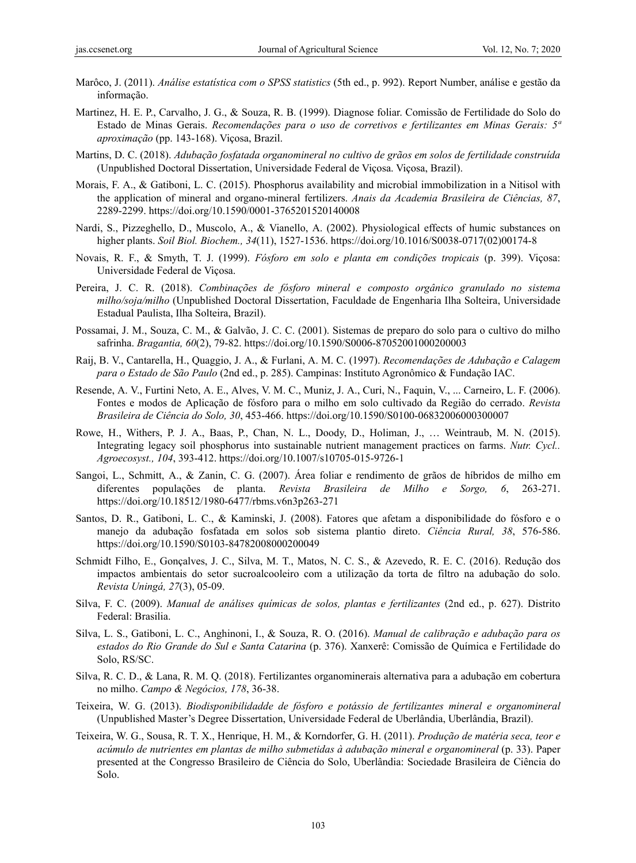- Marôco, J. (2011). *Análise estatística com o SPSS statistics* (5th ed., p. 992). Report Number, análise e gestão da informação.
- Martinez, H. E. P., Carvalho, J. G., & Souza, R. B. (1999). Diagnose foliar. Comissão de Fertilidade do Solo do Estado de Minas Gerais. *Recomendações para o uso de corretivos e fertilizantes em Minas Gerais: 5ª aproximação* (pp. 143-168). Viçosa, Brazil.
- Martins, D. C. (2018). *Adubação fosfatada organomineral no cultivo de grãos em solos de fertilidade construída* (Unpublished Doctoral Dissertation, Universidade Federal de Viçosa. Viçosa, Brazil).
- Morais, F. A., & Gatiboni, L. C. (2015). Phosphorus availability and microbial immobilization in a Nitisol with the application of mineral and organo-mineral fertilizers. *Anais da Academia Brasileira de Ciências, 87*, 2289-2299. https://doi.org/10.1590/0001-3765201520140008
- Nardi, S., Pizzeghello, D., Muscolo, A., & Vianello, A. (2002). Physiological effects of humic substances on higher plants. *Soil Biol. Biochem., 34*(11), 1527-1536. https://doi.org/10.1016/S0038-0717(02)00174-8
- Novais, R. F., & Smyth, T. J. (1999). *Fósforo em solo e planta em condições tropicais* (p. 399). Viçosa: Universidade Federal de Viçosa.
- Pereira, J. C. R. (2018). *Combinações de fósforo mineral e composto orgânico granulado no sistema milho/soja/milho* (Unpublished Doctoral Dissertation, Faculdade de Engenharia Ilha Solteira, Universidade Estadual Paulista, Ilha Solteira, Brazil).
- Possamai, J. M., Souza, C. M., & Galvão, J. C. C. (2001). Sistemas de preparo do solo para o cultivo do milho safrinha. *Bragantia, 60*(2), 79-82. https://doi.org/10.1590/S0006-87052001000200003
- Raij, B. V., Cantarella, H., Quaggio, J. A., & Furlani, A. M. C. (1997). *Recomendações de Adubação e Calagem para o Estado de São Paulo* (2nd ed., p. 285). Campinas: Instituto Agronômico & Fundação IAC.
- Resende, A. V., Furtini Neto, A. E., Alves, V. M. C., Muniz, J. A., Curi, N., Faquin, V., ... Carneiro, L. F. (2006). Fontes e modos de Aplicação de fósforo para o milho em solo cultivado da Região do cerrado. *Revista Brasileira de Ciência do Solo, 30*, 453-466. https://doi.org/10.1590/S0100-06832006000300007
- Rowe, H., Withers, P. J. A., Baas, P., Chan, N. L., Doody, D., Holiman, J., … Weintraub, M. N. (2015). Integrating legacy soil phosphorus into sustainable nutrient management practices on farms. *Nutr. Cycl.. Agroecosyst., 104*, 393-412. https://doi.org/10.1007/s10705-015-9726-1
- Sangoi, L., Schmitt, A., & Zanin, C. G. (2007). Área foliar e rendimento de grãos de híbridos de milho em diferentes populações de planta. *Revista Brasileira de Milho e Sorgo, 6*, 263-271. https://doi.org/10.18512/1980-6477/rbms.v6n3p263-271
- Santos, D. R., Gatiboni, L. C., & Kaminski, J. (2008). Fatores que afetam a disponibilidade do fósforo e o manejo da adubação fosfatada em solos sob sistema plantio direto. *Ciência Rural, 38*, 576-586. https://doi.org/10.1590/S0103-84782008000200049
- Schmidt Filho, E., Gonçalves, J. C., Silva, M. T., Matos, N. C. S., & Azevedo, R. E. C. (2016). Redução dos impactos ambientais do setor sucroalcooleiro com a utilização da torta de filtro na adubação do solo. *Revista Uningá, 27*(3), 05-09.
- Silva, F. C. (2009). *Manual de análises químicas de solos, plantas e fertilizantes* (2nd ed., p. 627). Distrito Federal: Brasilia.
- Silva, L. S., Gatiboni, L. C., Anghinoni, I., & Souza, R. O. (2016). *Manual de calibração e adubação para os estados do Rio Grande do Sul e Santa Catarina* (p. 376). Xanxerê: Comissão de Química e Fertilidade do Solo, RS/SC.
- Silva, R. C. D., & Lana, R. M. Q. (2018). Fertilizantes organominerais alternativa para a adubação em cobertura no milho. *Campo & Negócios, 178*, 36-38.
- Teixeira, W. G. (2013). *Biodisponibilidadde de fósforo e potássio de fertilizantes mineral e organomineral* (Unpublished Master's Degree Dissertation, Universidade Federal de Uberlândia, Uberlândia, Brazil).
- Teixeira, W. G., Sousa, R. T. X., Henrique, H. M., & Korndorfer, G. H. (2011). *Produção de matéria seca, teor e acúmulo de nutrientes em plantas de milho submetidas à adubação mineral e organomineral* (p. 33). Paper presented at the Congresso Brasileiro de Ciência do Solo, Uberlândia: Sociedade Brasileira de Ciência do Solo.